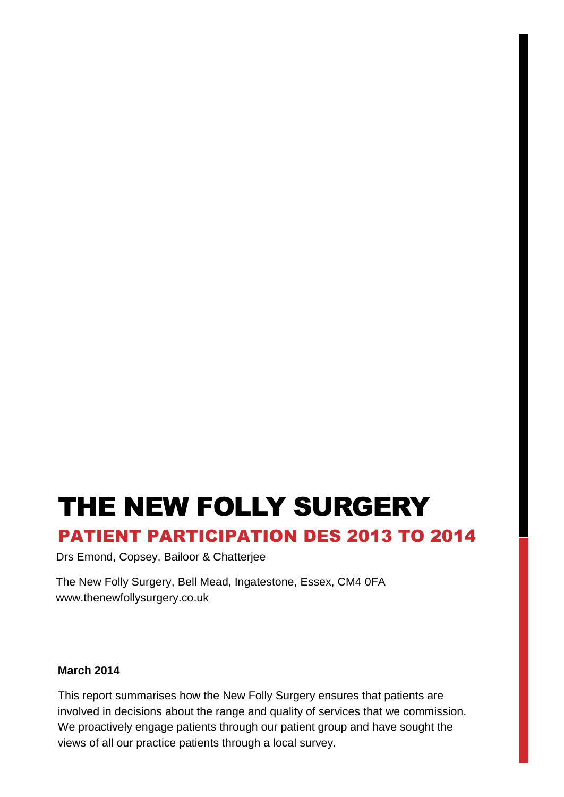# THE NEW FOLLY SURGERY

### PATIENT PARTICIPATION DES 2013 TO 2014

Drs Emond, Copsey, Bailoor & Chatterjee

The New Folly Surgery, Bell Mead, Ingatestone, Essex, CM4 0FA www.thenewfollysurgery.co.uk

#### **March 2014**

This report summarises how the New Folly Surgery ensures that patients are involved in decisions about the range and quality of services that we commission. We proactively engage patients through our patient group and have sought the views of all our practice patients through a local survey.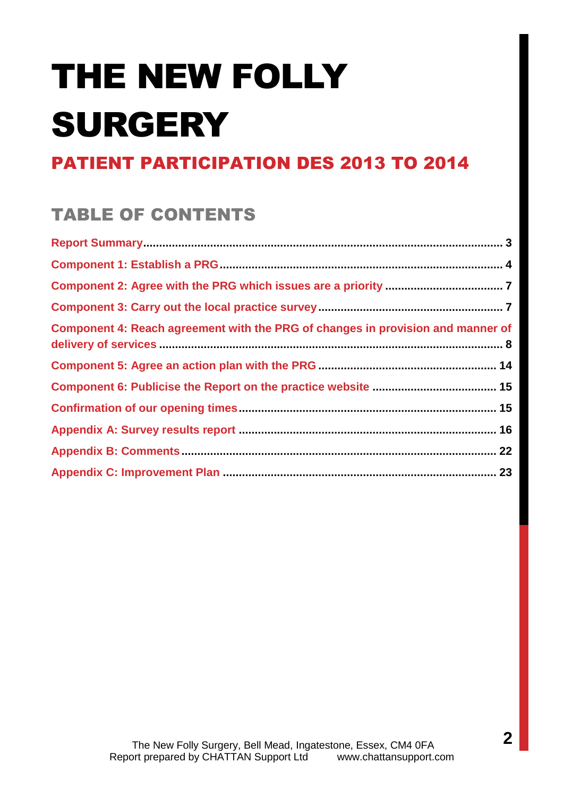# THE NEW FOLLY SURGERY

# PATIENT PARTICIPATION DES 2013 TO 2014

# TABLE OF CONTENTS

| Component 4: Reach agreement with the PRG of changes in provision and manner of |  |
|---------------------------------------------------------------------------------|--|
|                                                                                 |  |
|                                                                                 |  |
|                                                                                 |  |
|                                                                                 |  |
|                                                                                 |  |
|                                                                                 |  |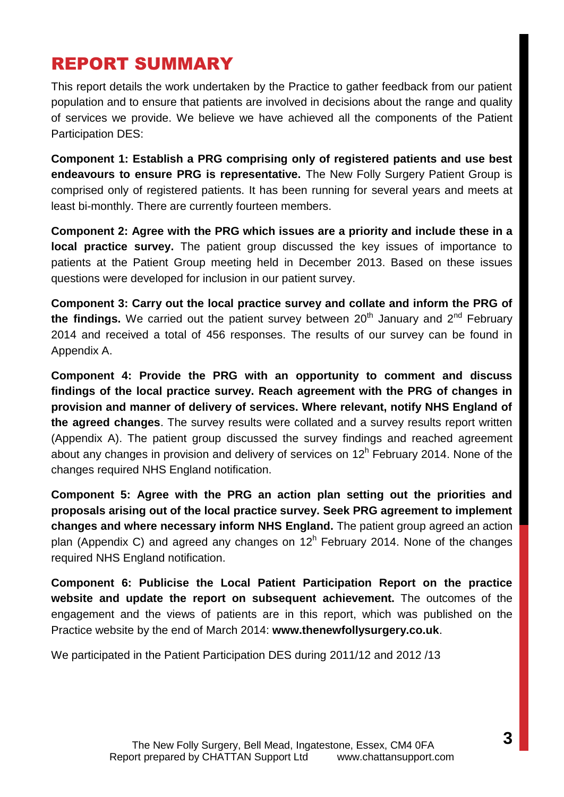### REPORT SUMMARY

This report details the work undertaken by the Practice to gather feedback from our patient population and to ensure that patients are involved in decisions about the range and quality of services we provide. We believe we have achieved all the components of the Patient Participation DES:

**Component 1: Establish a PRG comprising only of registered patients and use best endeavours to ensure PRG is representative.** The New Folly Surgery Patient Group is comprised only of registered patients. It has been running for several years and meets at least bi-monthly. There are currently fourteen members.

**Component 2: Agree with the PRG which issues are a priority and include these in a local practice survey.** The patient group discussed the key issues of importance to patients at the Patient Group meeting held in December 2013. Based on these issues questions were developed for inclusion in our patient survey.

**Component 3: Carry out the local practice survey and collate and inform the PRG of**  the findings. We carried out the patient survey between  $20<sup>th</sup>$  January and  $2<sup>nd</sup>$  February 2014 and received a total of 456 responses. The results of our survey can be found in Appendix A.

**Component 4: Provide the PRG with an opportunity to comment and discuss findings of the local practice survey. Reach agreement with the PRG of changes in provision and manner of delivery of services. Where relevant, notify NHS England of the agreed changes**. The survey results were collated and a survey results report written (Appendix A). The patient group discussed the survey findings and reached agreement about any changes in provision and delivery of services on 12<sup>h</sup> February 2014. None of the changes required NHS England notification.

**Component 5: Agree with the PRG an action plan setting out the priorities and proposals arising out of the local practice survey. Seek PRG agreement to implement changes and where necessary inform NHS England.** The patient group agreed an action plan (Appendix C) and agreed any changes on  $12<sup>h</sup>$  February 2014. None of the changes required NHS England notification.

**Component 6: Publicise the Local Patient Participation Report on the practice website and update the report on subsequent achievement.** The outcomes of the engagement and the views of patients are in this report, which was published on the Practice website by the end of March 2014: **www.thenewfollysurgery.co.uk**.

We participated in the Patient Participation DES during 2011/12 and 2012 /13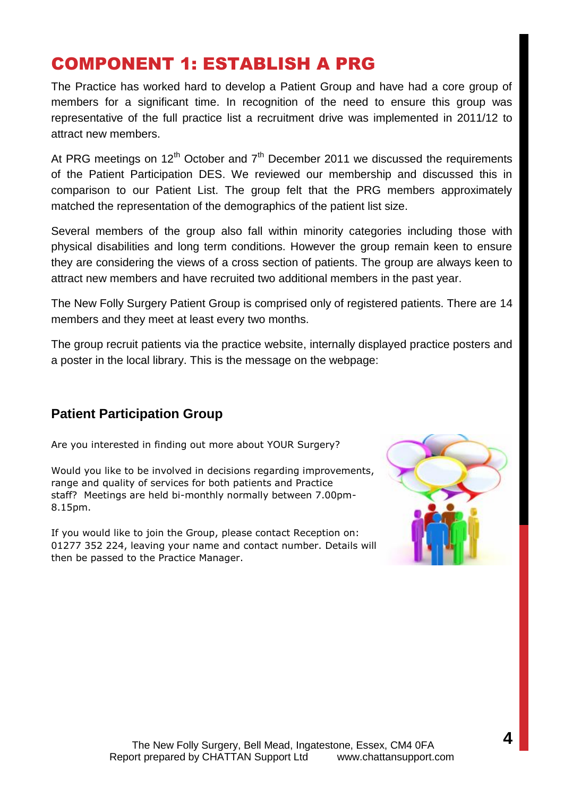### COMPONENT 1: ESTABLISH A PRG

The Practice has worked hard to develop a Patient Group and have had a core group of members for a significant time. In recognition of the need to ensure this group was representative of the full practice list a recruitment drive was implemented in 2011/12 to attract new members.

At PRG meetings on  $12<sup>th</sup>$  October and  $7<sup>th</sup>$  December 2011 we discussed the requirements of the Patient Participation DES. We reviewed our membership and discussed this in comparison to our Patient List. The group felt that the PRG members approximately matched the representation of the demographics of the patient list size.

Several members of the group also fall within minority categories including those with physical disabilities and long term conditions. However the group remain keen to ensure they are considering the views of a cross section of patients. The group are always keen to attract new members and have recruited two additional members in the past year.

The New Folly Surgery Patient Group is comprised only of registered patients. There are 14 members and they meet at least every two months.

The group recruit patients via the practice website, internally displayed practice posters and a poster in the local library. This is the message on the webpage:

### **Patient Participation Group**

Are you interested in finding out more about YOUR Surgery?

Would you like to be involved in decisions regarding improvements, range and quality of services for both patients and Practice staff? Meetings are held bi-monthly normally between 7.00pm-8.15pm.

If you would like to join the Group, please contact Reception on: 01277 352 224, leaving your name and contact number. Details will then be passed to the Practice Manager.

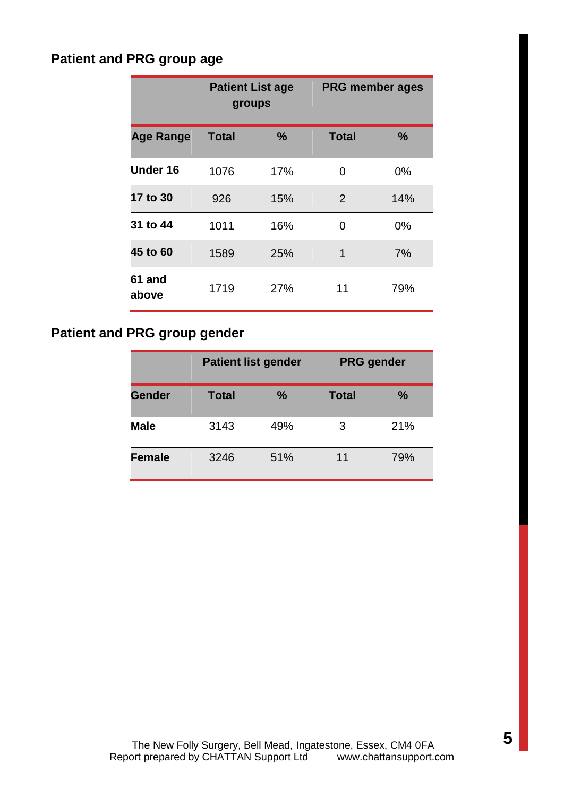### **Patient and PRG group age**

|                  | <b>Patient List age</b><br>groups |      | <b>PRG member ages</b> |      |
|------------------|-----------------------------------|------|------------------------|------|
| <b>Age Range</b> | <b>Total</b>                      | $\%$ | <b>Total</b>           | $\%$ |
| Under 16         | 1076                              | 17%  | 0                      | 0%   |
| 17 to 30         | 926                               | 15%  | 2                      | 14%  |
| 31 to 44         | 1011                              | 16%  | 0                      | 0%   |
| 45 to 60         | 1589                              | 25%  | 1                      | 7%   |
| 61 and<br>above  | 1719                              | 27%  | 11                     | 79%  |

### **Patient and PRG group gender**

|               |       | <b>Patient list gender</b> |              | <b>PRG</b> gender |
|---------------|-------|----------------------------|--------------|-------------------|
| <b>Gender</b> | Total | $\frac{9}{6}$              | <b>Total</b> | $\frac{9}{6}$     |
| <b>Male</b>   | 3143  | 49%                        | 3            | 21%               |
| <b>Female</b> | 3246  | 51%                        | 11           | 79%               |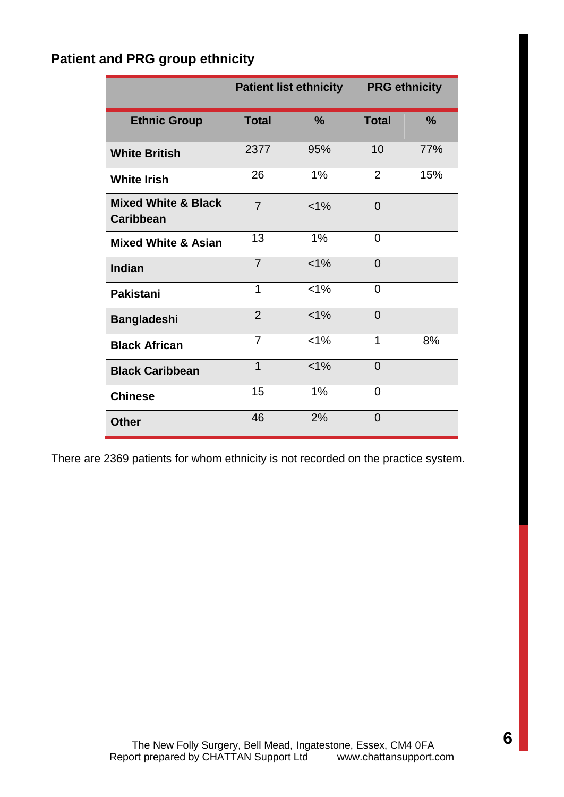### **Patient and PRG group ethnicity**

|                                                    |                | <b>Patient list ethnicity</b> | <b>PRG ethnicity</b> |               |
|----------------------------------------------------|----------------|-------------------------------|----------------------|---------------|
| <b>Ethnic Group</b>                                | <b>Total</b>   | $\frac{0}{0}$                 | <b>Total</b>         | $\frac{9}{6}$ |
| <b>White British</b>                               | 2377           | 95%                           | 10                   | 77%           |
| <b>White Irish</b>                                 | 26             | 1%                            | $\overline{2}$       | 15%           |
| <b>Mixed White &amp; Black</b><br><b>Caribbean</b> | $\overline{7}$ | $< 1\%$                       | $\Omega$             |               |
| <b>Mixed White &amp; Asian</b>                     | 13             | 1%                            | 0                    |               |
| Indian                                             | $\overline{7}$ | $< 1\%$                       | $\overline{0}$       |               |
| <b>Pakistani</b>                                   | 1              | $< 1\%$                       | $\Omega$             |               |
| <b>Bangladeshi</b>                                 | $\overline{2}$ | $< 1\%$                       | 0                    |               |
| <b>Black African</b>                               | $\overline{7}$ | $< 1\%$                       | 1                    | 8%            |
| <b>Black Caribbean</b>                             | $\overline{1}$ | $< 1\%$                       | $\overline{0}$       |               |
| <b>Chinese</b>                                     | 15             | 1%                            | $\Omega$             |               |
| <b>Other</b>                                       | 46             | 2%                            | $\overline{0}$       |               |

There are 2369 patients for whom ethnicity is not recorded on the practice system.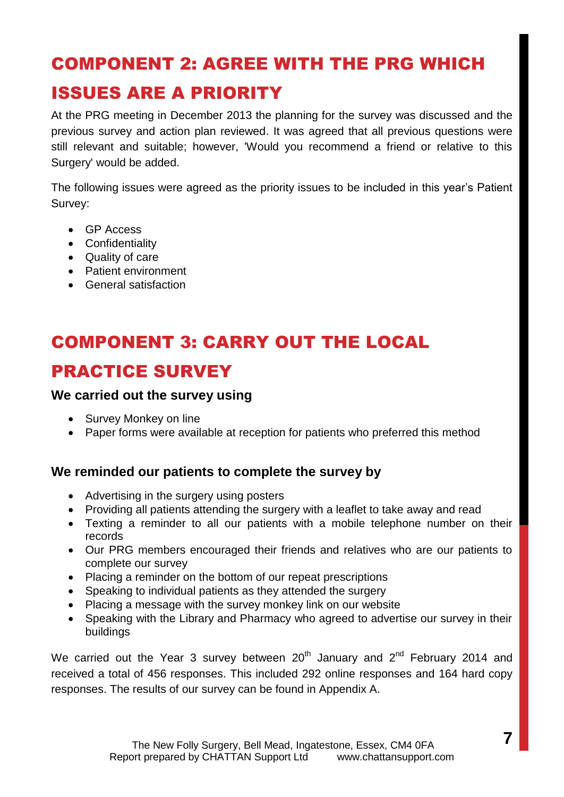# COMPONENT 2: AGREE WITH THE PRG WHICH ISSUES ARE A PRIORITY

At the PRG meeting in December 2013 the planning for the survey was discussed and the previous survey and action plan reviewed. It was agreed that all previous questions were still relevant and suitable; however, 'Would you recommend a friend or relative to this Surgery' would be added.

The following issues were agreed as the priority issues to be included in this year's Patient Survey:

- GP Access
- Confidentiality
- Quality of care
- Patient environment
- General satisfaction

# COMPONENT 3: CARRY OUT THE LOCAL PRACTICE SURVEY

### **We carried out the survey using**

- Survey Monkey on line
- Paper forms were available at reception for patients who preferred this method

### **We reminded our patients to complete the survey by**

- Advertising in the surgery using posters
- Providing all patients attending the surgery with a leaflet to take away and read
- Texting a reminder to all our patients with a mobile telephone number on their records
- Our PRG members encouraged their friends and relatives who are our patients to complete our survey
- Placing a reminder on the bottom of our repeat prescriptions
- Speaking to individual patients as they attended the surgery
- Placing a message with the survey monkey link on our website
- Speaking with the Library and Pharmacy who agreed to advertise our survey in their buildings

We carried out the Year 3 survey between  $20<sup>th</sup>$  January and  $2<sup>nd</sup>$  February 2014 and received a total of 456 responses. This included 292 online responses and 164 hard copy responses. The results of our survey can be found in Appendix A.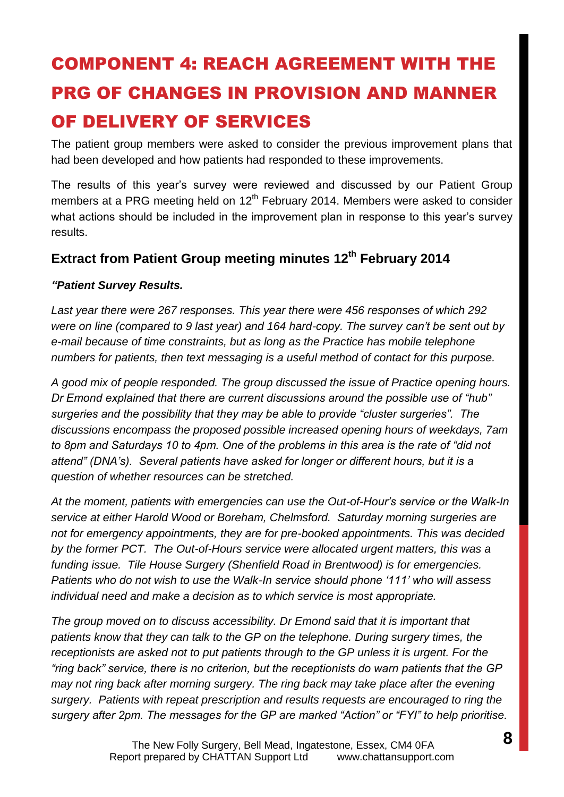# COMPONENT 4: REACH AGREEMENT WITH THE PRG OF CHANGES IN PROVISION AND MANNER OF DELIVERY OF SERVICES

The patient group members were asked to consider the previous improvement plans that had been developed and how patients had responded to these improvements.

The results of this year's survey were reviewed and discussed by our Patient Group members at a PRG meeting held on  $12<sup>th</sup>$  February 2014. Members were asked to consider what actions should be included in the improvement plan in response to this year's survey results.

### **Extract from Patient Group meeting minutes 12th February 2014**

#### *"Patient Survey Results.*

*Last year there were 267 responses. This year there were 456 responses of which 292 were on line (compared to 9 last year) and 164 hard-copy. The survey can't be sent out by e-mail because of time constraints, but as long as the Practice has mobile telephone numbers for patients, then text messaging is a useful method of contact for this purpose.*

*A good mix of people responded. The group discussed the issue of Practice opening hours. Dr Emond explained that there are current discussions around the possible use of "hub" surgeries and the possibility that they may be able to provide "cluster surgeries". The discussions encompass the proposed possible increased opening hours of weekdays, 7am to 8pm and Saturdays 10 to 4pm. One of the problems in this area is the rate of "did not attend" (DNA's). Several patients have asked for longer or different hours, but it is a question of whether resources can be stretched.*

*At the moment, patients with emergencies can use the Out-of-Hour's service or the Walk-In service at either Harold Wood or Boreham, Chelmsford. Saturday morning surgeries are not for emergency appointments, they are for pre-booked appointments. This was decided by the former PCT. The Out-of-Hours service were allocated urgent matters, this was a funding issue. Tile House Surgery (Shenfield Road in Brentwood) is for emergencies. Patients who do not wish to use the Walk-In service should phone '111' who will assess individual need and make a decision as to which service is most appropriate.*

*The group moved on to discuss accessibility. Dr Emond said that it is important that patients know that they can talk to the GP on the telephone. During surgery times, the receptionists are asked not to put patients through to the GP unless it is urgent. For the "ring back" service, there is no criterion, but the receptionists do warn patients that the GP may not ring back after morning surgery. The ring back may take place after the evening surgery. Patients with repeat prescription and results requests are encouraged to ring the surgery after 2pm. The messages for the GP are marked "Action" or "FYI" to help prioritise.*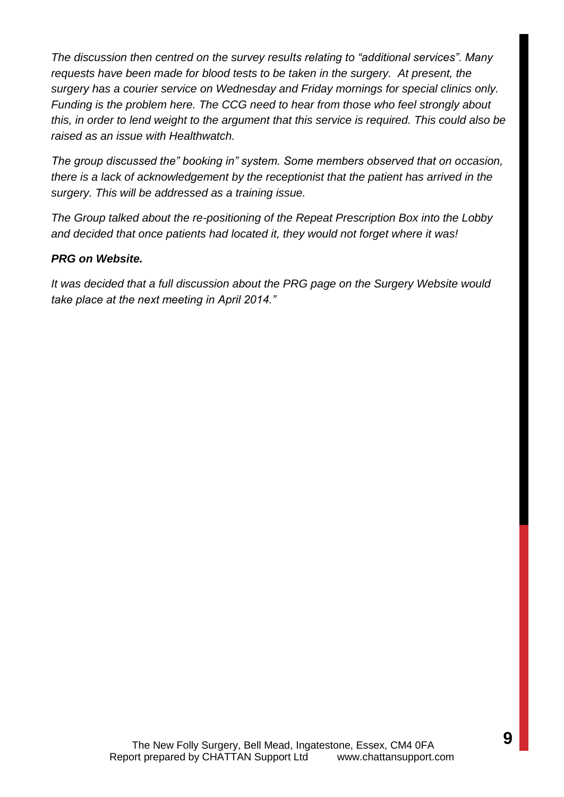*The discussion then centred on the survey results relating to "additional services". Many requests have been made for blood tests to be taken in the surgery. At present, the surgery has a courier service on Wednesday and Friday mornings for special clinics only. Funding is the problem here. The CCG need to hear from those who feel strongly about this, in order to lend weight to the argument that this service is required. This could also be raised as an issue with Healthwatch.* 

*The group discussed the" booking in" system. Some members observed that on occasion, there is a lack of acknowledgement by the receptionist that the patient has arrived in the surgery. This will be addressed as a training issue.*

*The Group talked about the re-positioning of the Repeat Prescription Box into the Lobby and decided that once patients had located it, they would not forget where it was!*

#### *PRG on Website.*

*It was decided that a full discussion about the PRG page on the Surgery Website would take place at the next meeting in April 2014."*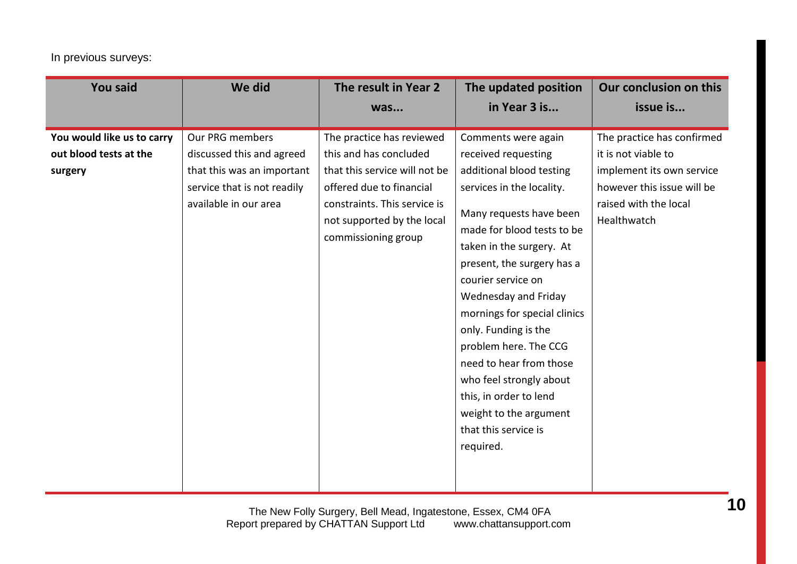#### In previous surveys:

| <b>You said</b>                                                 | We did                                                                                                                             | The result in Year 2                                                                                                                                                                                  | The updated position                                                                                                                                                                                                                                                                                                                                                                                                                                                                                 | Our conclusion on this                                                                                                                               |
|-----------------------------------------------------------------|------------------------------------------------------------------------------------------------------------------------------------|-------------------------------------------------------------------------------------------------------------------------------------------------------------------------------------------------------|------------------------------------------------------------------------------------------------------------------------------------------------------------------------------------------------------------------------------------------------------------------------------------------------------------------------------------------------------------------------------------------------------------------------------------------------------------------------------------------------------|------------------------------------------------------------------------------------------------------------------------------------------------------|
|                                                                 |                                                                                                                                    | was                                                                                                                                                                                                   | in Year 3 is                                                                                                                                                                                                                                                                                                                                                                                                                                                                                         | issue is                                                                                                                                             |
| You would like us to carry<br>out blood tests at the<br>surgery | Our PRG members<br>discussed this and agreed<br>that this was an important<br>service that is not readily<br>available in our area | The practice has reviewed<br>this and has concluded<br>that this service will not be<br>offered due to financial<br>constraints. This service is<br>not supported by the local<br>commissioning group | Comments were again<br>received requesting<br>additional blood testing<br>services in the locality.<br>Many requests have been<br>made for blood tests to be<br>taken in the surgery. At<br>present, the surgery has a<br>courier service on<br>Wednesday and Friday<br>mornings for special clinics<br>only. Funding is the<br>problem here. The CCG<br>need to hear from those<br>who feel strongly about<br>this, in order to lend<br>weight to the argument<br>that this service is<br>required. | The practice has confirmed<br>it is not viable to<br>implement its own service<br>however this issue will be<br>raised with the local<br>Healthwatch |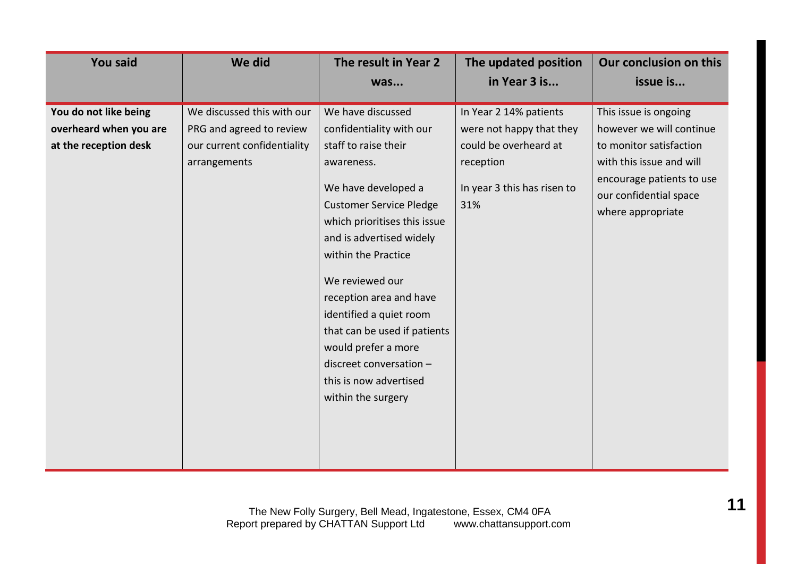| <b>You said</b>                                                          | We did                                                                                                | The result in Year 2                                                                                                                                                                                                                                                                                                                                                                                                                       | The updated position                                                                                                           | Our conclusion on this                                                                                                                                                               |
|--------------------------------------------------------------------------|-------------------------------------------------------------------------------------------------------|--------------------------------------------------------------------------------------------------------------------------------------------------------------------------------------------------------------------------------------------------------------------------------------------------------------------------------------------------------------------------------------------------------------------------------------------|--------------------------------------------------------------------------------------------------------------------------------|--------------------------------------------------------------------------------------------------------------------------------------------------------------------------------------|
|                                                                          |                                                                                                       | was                                                                                                                                                                                                                                                                                                                                                                                                                                        | in Year 3 is                                                                                                                   | issue is                                                                                                                                                                             |
| You do not like being<br>overheard when you are<br>at the reception desk | We discussed this with our<br>PRG and agreed to review<br>our current confidentiality<br>arrangements | We have discussed<br>confidentiality with our<br>staff to raise their<br>awareness.<br>We have developed a<br><b>Customer Service Pledge</b><br>which prioritises this issue<br>and is advertised widely<br>within the Practice<br>We reviewed our<br>reception area and have<br>identified a quiet room<br>that can be used if patients<br>would prefer a more<br>discreet conversation -<br>this is now advertised<br>within the surgery | In Year 2 14% patients<br>were not happy that they<br>could be overheard at<br>reception<br>In year 3 this has risen to<br>31% | This issue is ongoing<br>however we will continue<br>to monitor satisfaction<br>with this issue and will<br>encourage patients to use<br>our confidential space<br>where appropriate |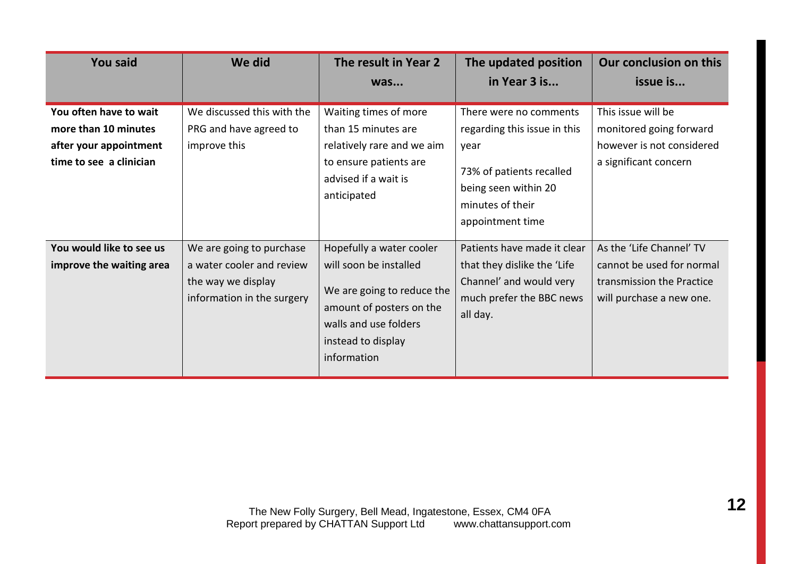| <b>You said</b>                                                                                     | We did                                                                                                    | The result in Year 2                                                                                                                                                       | The updated position                                                                                                                                       | Our conclusion on this                                                                                         |
|-----------------------------------------------------------------------------------------------------|-----------------------------------------------------------------------------------------------------------|----------------------------------------------------------------------------------------------------------------------------------------------------------------------------|------------------------------------------------------------------------------------------------------------------------------------------------------------|----------------------------------------------------------------------------------------------------------------|
|                                                                                                     |                                                                                                           | was                                                                                                                                                                        | in Year 3 is                                                                                                                                               | issue is                                                                                                       |
| You often have to wait<br>more than 10 minutes<br>after your appointment<br>time to see a clinician | We discussed this with the<br>PRG and have agreed to<br>improve this                                      | Waiting times of more<br>than 15 minutes are<br>relatively rare and we aim<br>to ensure patients are<br>advised if a wait is<br>anticipated                                | There were no comments<br>regarding this issue in this<br>year<br>73% of patients recalled<br>being seen within 20<br>minutes of their<br>appointment time | This issue will be<br>monitored going forward<br>however is not considered<br>a significant concern            |
| You would like to see us<br>improve the waiting area                                                | We are going to purchase<br>a water cooler and review<br>the way we display<br>information in the surgery | Hopefully a water cooler<br>will soon be installed<br>We are going to reduce the<br>amount of posters on the<br>walls and use folders<br>instead to display<br>information | Patients have made it clear<br>that they dislike the 'Life'<br>Channel' and would very<br>much prefer the BBC news<br>all day.                             | As the 'Life Channel' TV<br>cannot be used for normal<br>transmission the Practice<br>will purchase a new one. |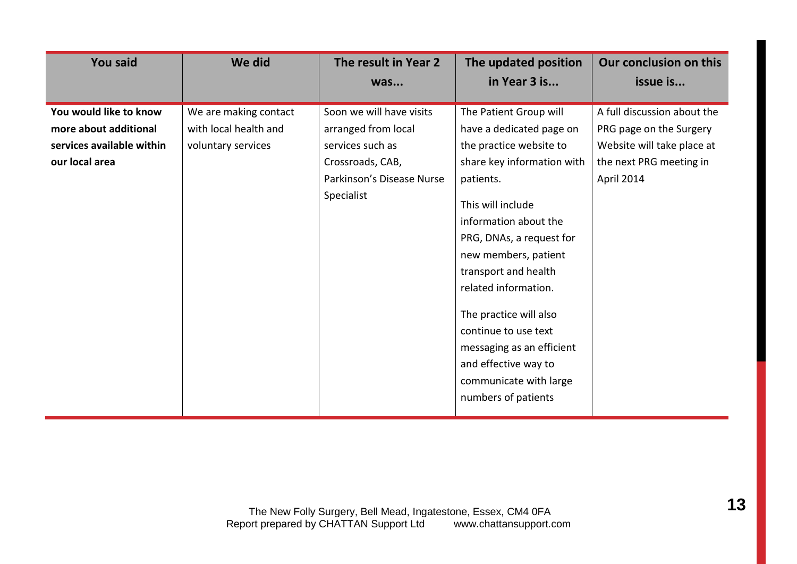| <b>You said</b>           | We did                | The result in Year 2      | The updated position                                                                                                                                                                                                                                                            | Our conclusion on this      |
|---------------------------|-----------------------|---------------------------|---------------------------------------------------------------------------------------------------------------------------------------------------------------------------------------------------------------------------------------------------------------------------------|-----------------------------|
|                           |                       | was                       | in Year 3 is                                                                                                                                                                                                                                                                    | issue is                    |
| You would like to know    | We are making contact | Soon we will have visits  | The Patient Group will                                                                                                                                                                                                                                                          | A full discussion about the |
| more about additional     | with local health and | arranged from local       | have a dedicated page on                                                                                                                                                                                                                                                        | PRG page on the Surgery     |
| services available within | voluntary services    | services such as          | the practice website to                                                                                                                                                                                                                                                         | Website will take place at  |
| our local area            |                       | Crossroads, CAB,          | share key information with                                                                                                                                                                                                                                                      | the next PRG meeting in     |
|                           |                       | Parkinson's Disease Nurse | patients.                                                                                                                                                                                                                                                                       | April 2014                  |
|                           |                       | Specialist                | This will include<br>information about the<br>PRG, DNAs, a request for<br>new members, patient<br>transport and health<br>related information.<br>The practice will also<br>continue to use text<br>messaging as an efficient<br>and effective way to<br>communicate with large |                             |
|                           |                       |                           | numbers of patients                                                                                                                                                                                                                                                             |                             |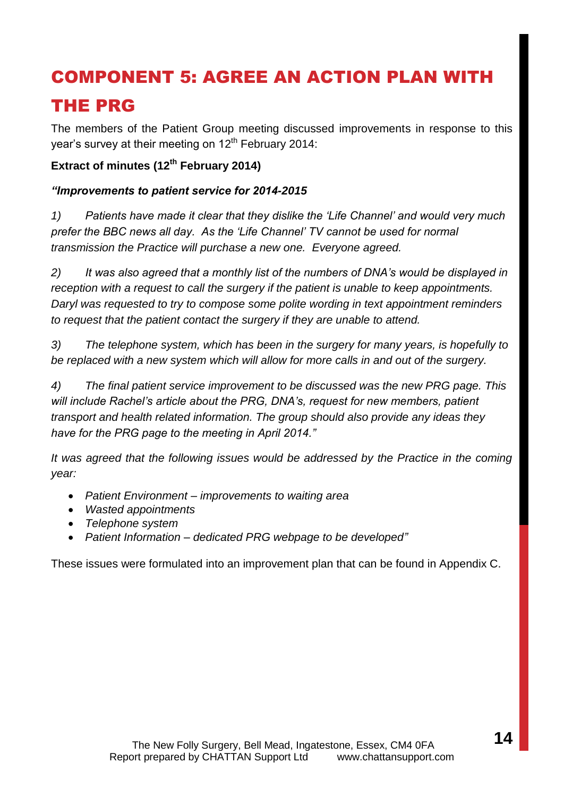# COMPONENT 5: AGREE AN ACTION PLAN WITH THE PRG

The members of the Patient Group meeting discussed improvements in response to this year's survey at their meeting on 12<sup>th</sup> February 2014:

### **Extract of minutes (12 th February 2014)**

### *"Improvements to patient service for 2014-2015*

*1) Patients have made it clear that they dislike the 'Life Channel' and would very much prefer the BBC news all day. As the 'Life Channel' TV cannot be used for normal transmission the Practice will purchase a new one. Everyone agreed.*

*2) It was also agreed that a monthly list of the numbers of DNA's would be displayed in reception with a request to call the surgery if the patient is unable to keep appointments. Daryl was requested to try to compose some polite wording in text appointment reminders to request that the patient contact the surgery if they are unable to attend.*

*3) The telephone system, which has been in the surgery for many years, is hopefully to be replaced with a new system which will allow for more calls in and out of the surgery.*

*4) The final patient service improvement to be discussed was the new PRG page. This will include Rachel's article about the PRG, DNA's, request for new members, patient transport and health related information. The group should also provide any ideas they have for the PRG page to the meeting in April 2014."*

*It was agreed that the following issues would be addressed by the Practice in the coming year:*

- *Patient Environment – improvements to waiting area*
- *Wasted appointments*
- *Telephone system*
- *Patient Information – dedicated PRG webpage to be developed"*

These issues were formulated into an improvement plan that can be found in Appendix C.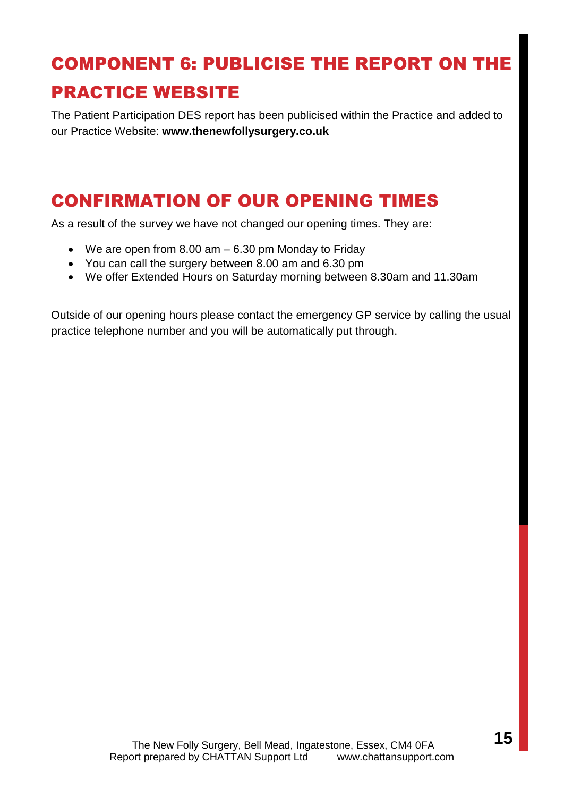# COMPONENT 6: PUBLICISE THE REPORT ON THE PRACTICE WEBSITE

The Patient Participation DES report has been publicised within the Practice and added to our Practice Website: **www.thenewfollysurgery.co.uk**

# CONFIRMATION OF OUR OPENING TIMES

As a result of the survey we have not changed our opening times. They are:

- We are open from 8.00 am 6.30 pm Monday to Friday
- You can call the surgery between 8.00 am and 6.30 pm
- We offer Extended Hours on Saturday morning between 8.30am and 11.30am

Outside of our opening hours please contact the emergency GP service by calling the usual practice telephone number and you will be automatically put through.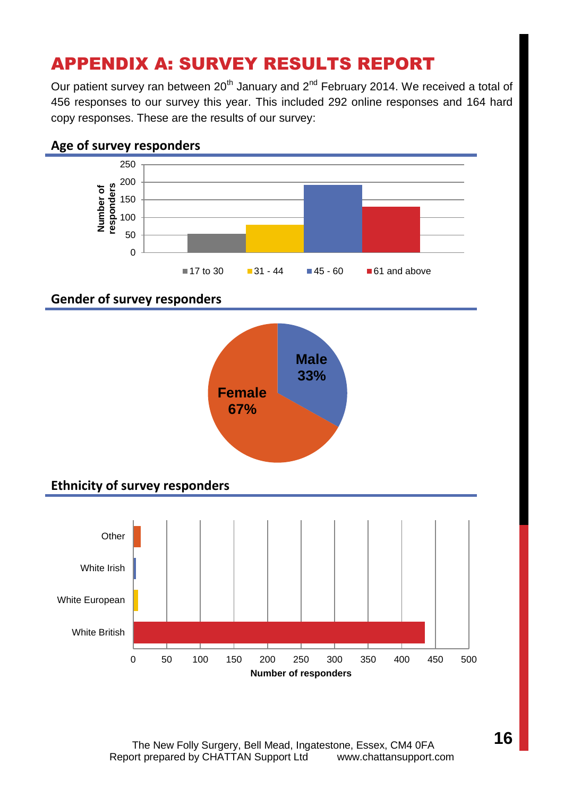# APPENDIX A: SURVEY RESULTS REPORT

Our patient survey ran between 20<sup>th</sup> January and 2<sup>nd</sup> February 2014. We received a total of 456 responses to our survey this year. This included 292 online responses and 164 hard copy responses. These are the results of our survey:



The New Folly Surgery, Bell Mead, Ingatestone, Essex, CM4 0FA Report prepared by CHATTAN Support Ltdwww.chattansupport.com **16**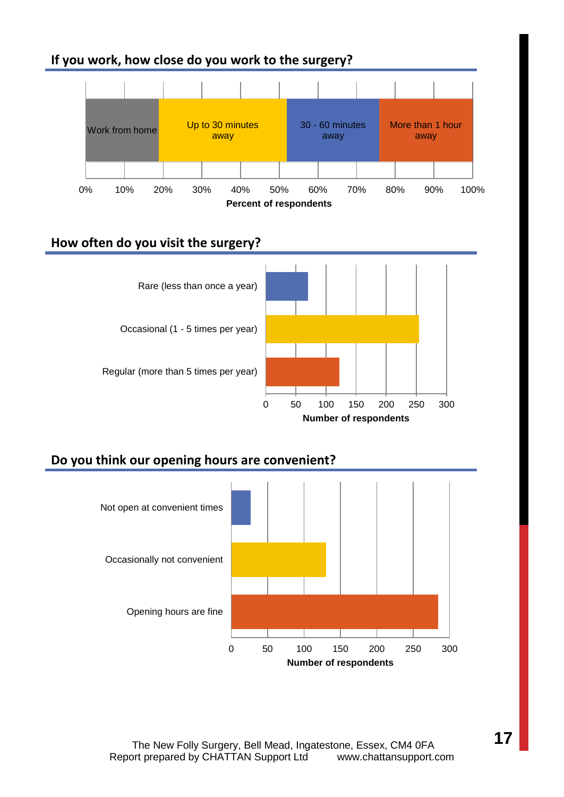### **If you work, how close do you work to the surgery?**



### **How often do you visit the surgery?**



### **Do you think our opening hours are convenient?**

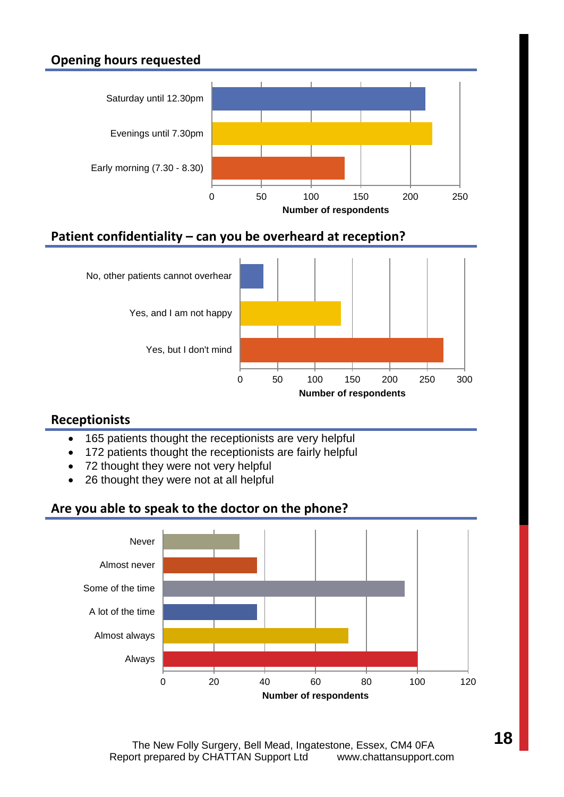### **Opening hours requested**



### **Patient confidentiality – can you be overheard at reception?**



### **Receptionists**

- 165 patients thought the receptionists are very helpful
- 172 patients thought the receptionists are fairly helpful
- 72 thought they were not very helpful
- 26 thought they were not at all helpful

### **Are you able to speak to the doctor on the phone?**

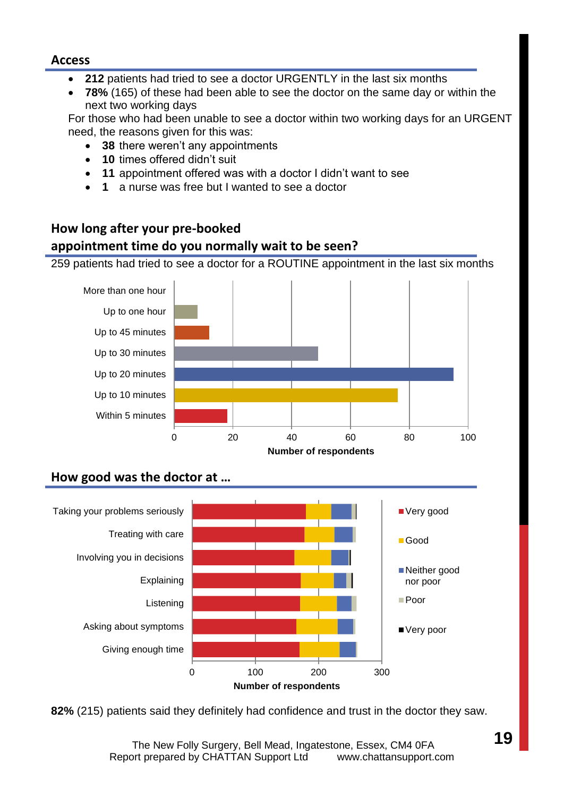#### **Access**

- **212** patients had tried to see a doctor URGENTLY in the last six months
- **78%** (165) of these had been able to see the doctor on the same day or within the next two working days

For those who had been unable to see a doctor within two working days for an URGENT need, the reasons given for this was:

- **38** there weren't any appointments
- **10** times offered didn't suit
- **11** appointment offered was with a doctor I didn't want to see
- **1** a nurse was free but I wanted to see a doctor

### **How long after your pre-booked appointment time do you normally wait to be seen?**

259 patients had tried to see a doctor for a ROUTINE appointment in the last six months



### **How good was the doctor at …**



**82%** (215) patients said they definitely had confidence and trust in the doctor they saw.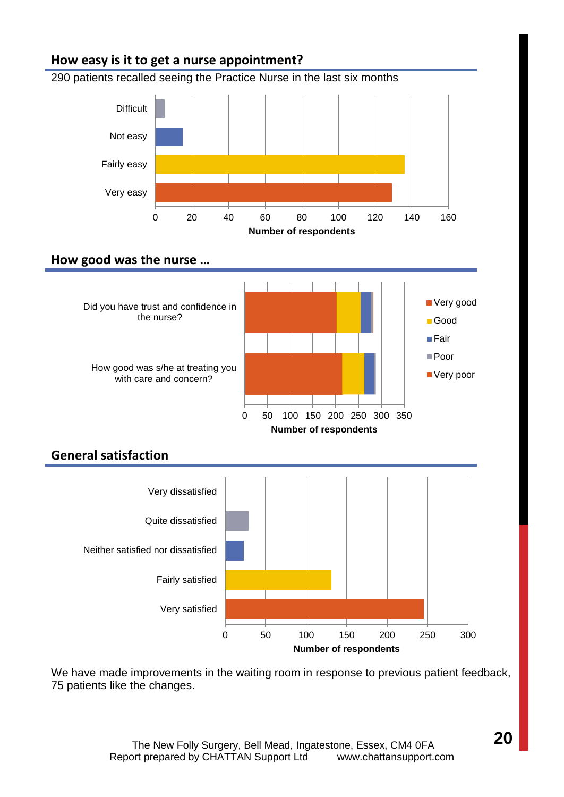### **How easy is it to get a nurse appointment?**

290 patients recalled seeing the Practice Nurse in the last six months



### **How good was the nurse …**



### **General satisfaction**



We have made improvements in the waiting room in response to previous patient feedback, 75 patients like the changes.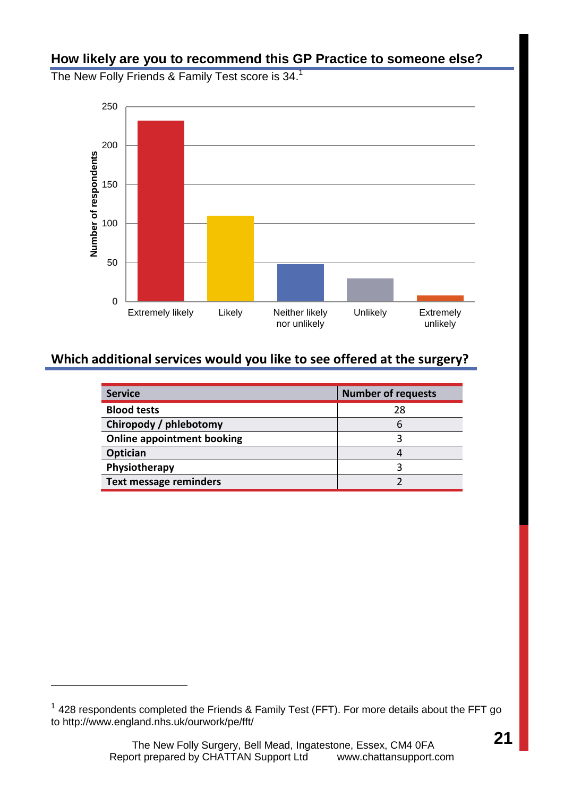### **How likely are you to recommend this GP Practice to someone else?**

The New Folly Friends & Family Test score is 34.<sup>1</sup>



### **Which additional services would you like to see offered at the surgery?**

| <b>Service</b>                    | <b>Number of requests</b> |
|-----------------------------------|---------------------------|
| <b>Blood tests</b>                | 28                        |
| Chiropody / phlebotomy            | h                         |
| <b>Online appointment booking</b> |                           |
| Optician                          |                           |
| Physiotherapy                     |                           |
| <b>Text message reminders</b>     |                           |

l

 $1$  428 respondents completed the Friends & Family Test (FFT). For more details about the FFT go to http://www.england.nhs.uk/ourwork/pe/fft/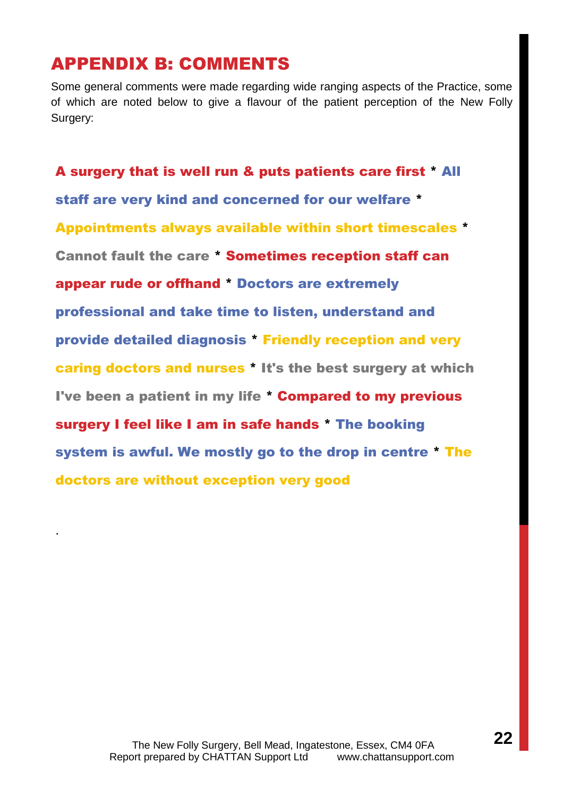### APPENDIX B: COMMENTS

.

Some general comments were made regarding wide ranging aspects of the Practice, some of which are noted below to give a flavour of the patient perception of the New Folly Surgery:

A surgery that is well run & puts patients care first \* All staff are very kind and concerned for our welfare \* Appointments always available within short timescales \* Cannot fault the care \* Sometimes reception staff can appear rude or offhand \* Doctors are extremely professional and take time to listen, understand and provide detailed diagnosis \* Friendly reception and very caring doctors and nurses \* It's the best surgery at which I've been a patient in my life \* Compared to my previous surgery I feel like I am in safe hands \* The booking system is awful. We mostly go to the drop in centre \* The doctors are without exception very good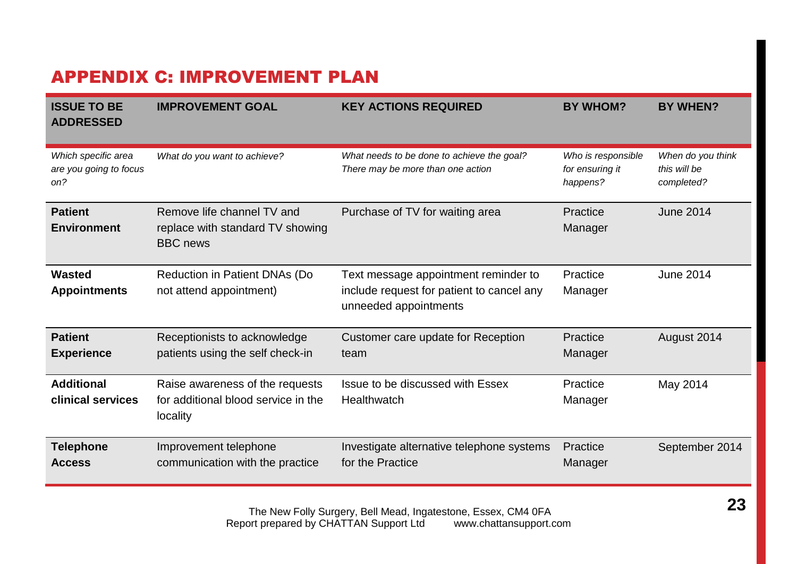# APPENDIX C: IMPROVEMENT PLAN

| <b>ISSUE TO BE</b><br><b>ADDRESSED</b>               | <b>IMPROVEMENT GOAL</b>                                                            | <b>KEY ACTIONS REQUIRED</b>                                                                                | <b>BY WHOM?</b>                                   | <b>BY WHEN?</b>                                 |
|------------------------------------------------------|------------------------------------------------------------------------------------|------------------------------------------------------------------------------------------------------------|---------------------------------------------------|-------------------------------------------------|
| Which specific area<br>are you going to focus<br>on? | What do you want to achieve?                                                       | What needs to be done to achieve the goal?<br>There may be more than one action                            | Who is responsible<br>for ensuring it<br>happens? | When do you think<br>this will be<br>completed? |
| <b>Patient</b><br><b>Environment</b>                 | Remove life channel TV and<br>replace with standard TV showing<br><b>BBC</b> news  | Purchase of TV for waiting area                                                                            | Practice<br>Manager                               | <b>June 2014</b>                                |
| <b>Wasted</b><br><b>Appointments</b>                 | Reduction in Patient DNAs (Do<br>not attend appointment)                           | Text message appointment reminder to<br>include request for patient to cancel any<br>unneeded appointments | Practice<br>Manager                               | June 2014                                       |
| <b>Patient</b><br><b>Experience</b>                  | Receptionists to acknowledge<br>patients using the self check-in                   | Customer care update for Reception<br>team                                                                 | Practice<br>Manager                               | August 2014                                     |
| <b>Additional</b><br>clinical services               | Raise awareness of the requests<br>for additional blood service in the<br>locality | Issue to be discussed with Essex<br><b>Healthwatch</b>                                                     | Practice<br>Manager                               | May 2014                                        |
| <b>Telephone</b><br><b>Access</b>                    | Improvement telephone<br>communication with the practice                           | Investigate alternative telephone systems<br>for the Practice                                              | Practice<br>Manager                               | September 2014                                  |